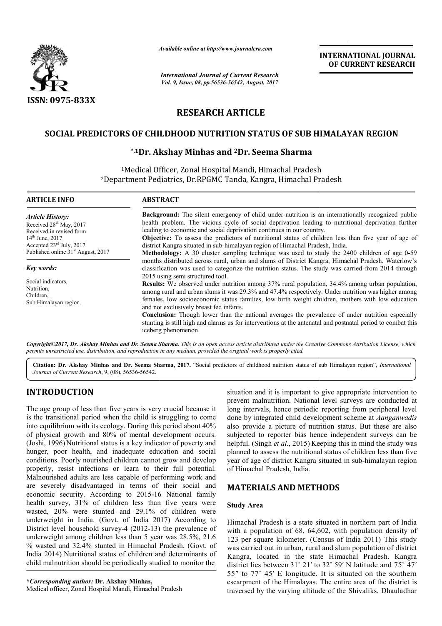

*Available online at http://www.journal http://www.journalcra.com*

# **RESEARCH ARTICLE**

# SOCIAL PREDICTORS OF CHILDHOOD NUTRITION STATUS OF SUB HIMALAYAN REGION

# **\*,1Dr. Akshay Minhas and 2Dr. Seema Sharma**

|                                                                                                                                                                                                                                                                                                                                                                                                                                                                                                                                        | лтините опине интир.//www.journuicru.com<br><b>International Journal of Current Research</b><br>Vol. 9, Issue, 08, pp.56536-56542, August, 2017                                                                                                                                                                                                                                                                                                    |                                                                                                                                                                                                                                                                                                                                                                                                                                                                                                                                                                                                                   | <b>INTERNATIONAL JOURNAL</b><br>OF CURRENT RESEARCH                                                                                                                                                                                                                                                                                                                                                                                                                                                                          |  |  |  |  |
|----------------------------------------------------------------------------------------------------------------------------------------------------------------------------------------------------------------------------------------------------------------------------------------------------------------------------------------------------------------------------------------------------------------------------------------------------------------------------------------------------------------------------------------|----------------------------------------------------------------------------------------------------------------------------------------------------------------------------------------------------------------------------------------------------------------------------------------------------------------------------------------------------------------------------------------------------------------------------------------------------|-------------------------------------------------------------------------------------------------------------------------------------------------------------------------------------------------------------------------------------------------------------------------------------------------------------------------------------------------------------------------------------------------------------------------------------------------------------------------------------------------------------------------------------------------------------------------------------------------------------------|------------------------------------------------------------------------------------------------------------------------------------------------------------------------------------------------------------------------------------------------------------------------------------------------------------------------------------------------------------------------------------------------------------------------------------------------------------------------------------------------------------------------------|--|--|--|--|
|                                                                                                                                                                                                                                                                                                                                                                                                                                                                                                                                        |                                                                                                                                                                                                                                                                                                                                                                                                                                                    |                                                                                                                                                                                                                                                                                                                                                                                                                                                                                                                                                                                                                   |                                                                                                                                                                                                                                                                                                                                                                                                                                                                                                                              |  |  |  |  |
| <b>ISSN: 0975-833X</b>                                                                                                                                                                                                                                                                                                                                                                                                                                                                                                                 |                                                                                                                                                                                                                                                                                                                                                                                                                                                    | <b>RESEARCH ARTICLE</b>                                                                                                                                                                                                                                                                                                                                                                                                                                                                                                                                                                                           |                                                                                                                                                                                                                                                                                                                                                                                                                                                                                                                              |  |  |  |  |
|                                                                                                                                                                                                                                                                                                                                                                                                                                                                                                                                        |                                                                                                                                                                                                                                                                                                                                                                                                                                                    |                                                                                                                                                                                                                                                                                                                                                                                                                                                                                                                                                                                                                   |                                                                                                                                                                                                                                                                                                                                                                                                                                                                                                                              |  |  |  |  |
|                                                                                                                                                                                                                                                                                                                                                                                                                                                                                                                                        | SOCIAL PREDICTORS OF CHILDHOOD NUTRITION STATUS OF SUB HIMALAYAN REGION                                                                                                                                                                                                                                                                                                                                                                            |                                                                                                                                                                                                                                                                                                                                                                                                                                                                                                                                                                                                                   |                                                                                                                                                                                                                                                                                                                                                                                                                                                                                                                              |  |  |  |  |
|                                                                                                                                                                                                                                                                                                                                                                                                                                                                                                                                        | *,1Dr. Akshay Minhas and <sup>2</sup> Dr. Seema Sharma                                                                                                                                                                                                                                                                                                                                                                                             |                                                                                                                                                                                                                                                                                                                                                                                                                                                                                                                                                                                                                   |                                                                                                                                                                                                                                                                                                                                                                                                                                                                                                                              |  |  |  |  |
|                                                                                                                                                                                                                                                                                                                                                                                                                                                                                                                                        | <sup>1</sup> Medical Officer, Zonal Hospital Mandi, Himachal Pradesh                                                                                                                                                                                                                                                                                                                                                                               |                                                                                                                                                                                                                                                                                                                                                                                                                                                                                                                                                                                                                   |                                                                                                                                                                                                                                                                                                                                                                                                                                                                                                                              |  |  |  |  |
|                                                                                                                                                                                                                                                                                                                                                                                                                                                                                                                                        | <sup>2</sup> Department Pediatrics, Dr.RPGMC Tanda, Kangra, Himachal Pradesh                                                                                                                                                                                                                                                                                                                                                                       |                                                                                                                                                                                                                                                                                                                                                                                                                                                                                                                                                                                                                   |                                                                                                                                                                                                                                                                                                                                                                                                                                                                                                                              |  |  |  |  |
| <b>ARTICLE INFO</b>                                                                                                                                                                                                                                                                                                                                                                                                                                                                                                                    | <b>ABSTRACT</b>                                                                                                                                                                                                                                                                                                                                                                                                                                    |                                                                                                                                                                                                                                                                                                                                                                                                                                                                                                                                                                                                                   |                                                                                                                                                                                                                                                                                                                                                                                                                                                                                                                              |  |  |  |  |
| <b>Article History:</b><br>Received 28 <sup>th</sup> May, 2017<br>Received in revised form<br>14 <sup>th</sup> June, 2017<br>Accepted 23rd July, 2017<br>Published online 31 <sup>st</sup> August, 2017                                                                                                                                                                                                                                                                                                                                |                                                                                                                                                                                                                                                                                                                                                                                                                                                    | Background: The silent emergency of child under-nutrition is an internationally recognized public<br>health problem. The vicious cycle of social deprivation leading to nutritional deprivation further<br>leading to economic and social deprivation continues in our country.<br>Objective: To assess the predictors of nutritional status of children less than five year of age of<br>district Kangra situated in sub-himalayan region of Himachal Pradesh, India.<br>Methodology: A 30 cluster sampling technique was used to study the 2400 children of age 0-59                                            |                                                                                                                                                                                                                                                                                                                                                                                                                                                                                                                              |  |  |  |  |
| Key words:                                                                                                                                                                                                                                                                                                                                                                                                                                                                                                                             |                                                                                                                                                                                                                                                                                                                                                                                                                                                    |                                                                                                                                                                                                                                                                                                                                                                                                                                                                                                                                                                                                                   | months distributed across rural, urban and slums of District Kangra, Himachal Pradesh. Waterlow's<br>classification was used to categorize the nutrition status. The study was carried from 2014 through                                                                                                                                                                                                                                                                                                                     |  |  |  |  |
| Social indicators,<br>Nutrition,<br>Children,<br>Sub Himalayan region.                                                                                                                                                                                                                                                                                                                                                                                                                                                                 | iceberg phenomenon.                                                                                                                                                                                                                                                                                                                                                                                                                                | 2015 using semi structured tool.<br>Results: We observed under nutrition among 37% rural population, 34.4% among urban population,<br>among rural and urban slums it was 29.3% and 47.4% respectively. Under nutrition was higher among<br>females, low socioeconomic status families, low birth weight children, mothers with low education<br>and not exclusively breast fed infants.<br><b>Conclusion:</b> Though lower than the national averages the prevalence of under nutrition especially<br>stunting is still high and alarms us for interventions at the antenatal and postnatal period to combat this |                                                                                                                                                                                                                                                                                                                                                                                                                                                                                                                              |  |  |  |  |
|                                                                                                                                                                                                                                                                                                                                                                                                                                                                                                                                        | permits unrestricted use, distribution, and reproduction in any medium, provided the original work is properly cited.                                                                                                                                                                                                                                                                                                                              |                                                                                                                                                                                                                                                                                                                                                                                                                                                                                                                                                                                                                   | Copyright©2017, Dr. Akshay Minhas and Dr. Seema Sharma. This is an open access article distributed under the Creative Commons Attribution License, which                                                                                                                                                                                                                                                                                                                                                                     |  |  |  |  |
| Journal of Current Research, 9, (08), 56536-56542.                                                                                                                                                                                                                                                                                                                                                                                                                                                                                     |                                                                                                                                                                                                                                                                                                                                                                                                                                                    |                                                                                                                                                                                                                                                                                                                                                                                                                                                                                                                                                                                                                   | Citation: Dr. Akshay Minhas and Dr. Seema Sharma, 2017. "Social predictors of childhood nutrition status of sub Himalayan region", International                                                                                                                                                                                                                                                                                                                                                                             |  |  |  |  |
| <b>INTRODUCTION</b>                                                                                                                                                                                                                                                                                                                                                                                                                                                                                                                    |                                                                                                                                                                                                                                                                                                                                                                                                                                                    |                                                                                                                                                                                                                                                                                                                                                                                                                                                                                                                                                                                                                   | situation and it is important to give appropriate intervention to<br>prevent malnutrition. National level surveys are conducted at<br>long intervals, hence periodic reporting from peripheral level                                                                                                                                                                                                                                                                                                                         |  |  |  |  |
| The age group of less than five years is very crucial because it<br>is the transitional period when the child is struggling to come<br>into equilibrium with its ecology. During this period about 40%<br>of physical growth and 80% of mental development occurs.<br>(Joshi, 1996) Nutritional status is a key indicator of poverty and<br>hunger, poor health, and inadequate education and social<br>conditions. Poorly nourished children cannot grow and develop<br>properly, resist infections or learn to their full potential. |                                                                                                                                                                                                                                                                                                                                                                                                                                                    | of Himachal Pradesh, India.                                                                                                                                                                                                                                                                                                                                                                                                                                                                                                                                                                                       | done by integrated child development scheme at Aanganwadis<br>also provide a picture of nutrition status. But these are also<br>subjected to reporter bias hence independent surveys can be<br>helpful. (Singh et al., 2015) Keeping this in mind the study was<br>planned to assess the nutritional status of children less than five<br>year of age of district Kangra situated in sub-himalayan region                                                                                                                    |  |  |  |  |
|                                                                                                                                                                                                                                                                                                                                                                                                                                                                                                                                        | Malnourished adults are less capable of performing work and<br>are severely disadvantaged in terms of their social and                                                                                                                                                                                                                                                                                                                             | <b>MATERIALS AND METHODS</b>                                                                                                                                                                                                                                                                                                                                                                                                                                                                                                                                                                                      |                                                                                                                                                                                                                                                                                                                                                                                                                                                                                                                              |  |  |  |  |
|                                                                                                                                                                                                                                                                                                                                                                                                                                                                                                                                        | economic security. According to 2015-16 National family<br>health survey, 31% of children less than five years were                                                                                                                                                                                                                                                                                                                                |                                                                                                                                                                                                                                                                                                                                                                                                                                                                                                                                                                                                                   |                                                                                                                                                                                                                                                                                                                                                                                                                                                                                                                              |  |  |  |  |
| *Corresponding author: Dr. Akshay Minhas,                                                                                                                                                                                                                                                                                                                                                                                                                                                                                              | wasted, 20% were stunted and 29.1% of children were<br>underweight in India. (Govt. of India 2017) According to<br>District level household survey-4 (2012-13) the prevalence of<br>underweight among children less than 5 year was 28.5%, 21.6<br>% wasted and 32.4% stunted in Himachal Pradesh. (Govt. of<br>India 2014) Nutritional status of children and determinants of<br>child malnutrition should be periodically studied to monitor the | <b>Study Area</b>                                                                                                                                                                                                                                                                                                                                                                                                                                                                                                                                                                                                 | Himachal Pradesh is a state situated in northern part of India<br>with a population of 68, 64,602, with population density of<br>123 per square kilometer. (Census of India 2011) This study<br>was carried out in urban, rural and slum population of district<br>Kangra, located in the state Himachal Pradesh. Kangra<br>district lies between 31° 21' to 32° 59' N latitude and 75° 47'<br>55" to 77° 45' E longitude. It is situated on the southern<br>escarpment of the Himalayas. The entire area of the district is |  |  |  |  |
| Medical officer, Zonal Hospital Mandi, Himachal Pradesh                                                                                                                                                                                                                                                                                                                                                                                                                                                                                |                                                                                                                                                                                                                                                                                                                                                                                                                                                    |                                                                                                                                                                                                                                                                                                                                                                                                                                                                                                                                                                                                                   | traversed by the varying altitude of the Shivaliks, Dhauladhar                                                                                                                                                                                                                                                                                                                                                                                                                                                               |  |  |  |  |

# **INTRODUCTION**

## **MATERIALS AND METHODS METHODS**

### **Study Area**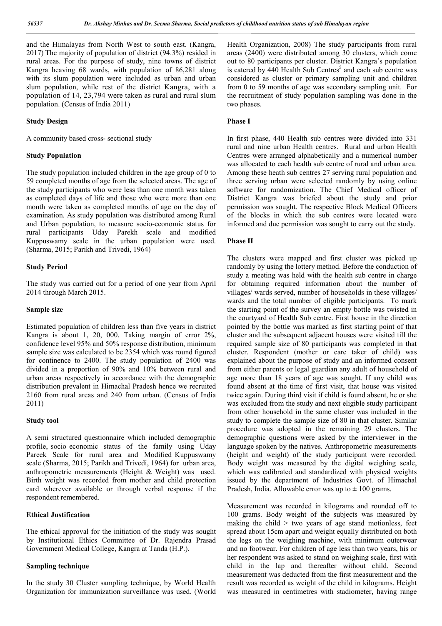and the Himalayas from North West to south east. (Kangra, 2017) The majority of population of district (94.3%) resided in rural areas. For the purpose of study, nine towns of district Kangra heaving 68 wards, with population of 86,281 along with its slum population were included as urban and urban slum population, while rest of the district Kangra, with a population of 14, 23,794 were taken as rural and rural slum population. (Census of India 2011)

### **Study Design**

A community based cross- sectional study

#### **Study Population**

The study population included children in the age group of 0 to 59 completed months of age from the selected areas. The age of the study participants who were less than one month was taken as completed days of life and those who were more than one month were taken as completed months of age on the day of examination. As study population was distributed among Rural and Urban population, to measure socio-economic status for rural participants Uday Parekh scale and modified Kuppuswamy scale in the urban population were used. (Sharma, 2015; Parikh and Trivedi, 1964)

#### **Study Period**

The study was carried out for a period of one year from April 2014 through March 2015.

#### **Sample size**

Estimated population of children less than five years in district Kangra is about 1, 20, 000. Taking margin of error 2%, confidence level 95% and 50% response distribution, minimum sample size was calculated to be 2354 which was round figured for continence to 2400. The study population of 2400 was divided in a proportion of 90% and 10% between rural and urban areas respectively in accordance with the demographic distribution prevalent in Himachal Pradesh hence we recruited 2160 from rural areas and 240 from urban. (Census of India 2011)

#### **Study tool**

A semi structured questionnaire which included demographic profile, socio economic status of the family using Uday Pareek Scale for rural area and Modified Kuppuswamy scale (Sharma, 2015; Parikh and Trivedi, 1964) for urban area, anthropometric measurements (Height & Weight) was used. Birth weight was recorded from mother and child protection card wherever available or through verbal response if the respondent remembered.

#### **Ethical Justification**

The ethical approval for the initiation of the study was sought by Institutional Ethics Committee of Dr. Rajendra Prasad Government Medical College, Kangra at Tanda (H.P.).

### **Sampling technique**

In the study 30 Cluster sampling technique, by World Health Organization for immunization surveillance was used. (World Health Organization, 2008) The study participants from rural areas (2400) were distributed among 30 clusters, which come out to 80 participants per cluster. District Kangra's population is catered by  $440$  Health Sub Centres<sup>5</sup> and each sub centre was considered as cluster or primary sampling unit and children from 0 to 59 months of age was secondary sampling unit. For the recruitment of study population sampling was done in the two phases.

#### **Phase I**

In first phase, 440 Health sub centres were divided into 331 rural and nine urban Health centres. Rural and urban Health Centres were arranged alphabetically and a numerical number was allocated to each health sub centre of rural and urban area. Among these heath sub centres 27 serving rural population and three serving urban were selected randomly by using online software for randomization. The Chief Medical officer of District Kangra was briefed about the study and prior permission was sought. The respective Block Medical Officers of the blocks in which the sub centres were located were informed and due permission was sought to carry out the study.

### **Phase II**

The clusters were mapped and first cluster was picked up randomly by using the lottery method. Before the conduction of study a meeting was held with the health sub centre in charge for obtaining required information about the number of villages/ wards served, number of households in these villages/ wards and the total number of eligible participants. To mark the starting point of the survey an empty bottle was twisted in the courtyard of Health Sub centre. First house in the direction pointed by the bottle was marked as first starting point of that cluster and the subsequent adjacent houses were visited till the required sample size of 80 participants was completed in that cluster. Respondent (mother or care taker of child) was explained about the purpose of study and an informed consent from either parents or legal guardian any adult of household of age more than 18 years of age was sought. If any child was found absent at the time of first visit, that house was visited twice again. During third visit if child is found absent, he or she was excluded from the study and next eligible study participant from other household in the same cluster was included in the study to complete the sample size of 80 in that cluster. Similar procedure was adopted in the remaining 29 clusters. The demographic questions were asked by the interviewer in the language spoken by the natives. Anthropometric measurements (height and weight) of the study participant were recorded. Body weight was measured by the digital weighing scale, which was calibrated and standardized with physical weights issued by the department of Industries Govt. of Himachal Pradesh, India. Allowable error was up to  $\pm$  100 grams.

Measurement was recorded in kilograms and rounded off to 100 grams. Body weight of the subjects was measured by making the child  $>$  two years of age stand motionless, feet spread about 15cm apart and weight equally distributed on both the legs on the weighing machine, with minimum outerwear and no footwear. For children of age less than two years, his or her respondent was asked to stand on weighing scale, first with child in the lap and thereafter without child. Second measurement was deducted from the first measurement and the result was recorded as weight of the child in kilograms. Height was measured in centimetres with stadiometer, having range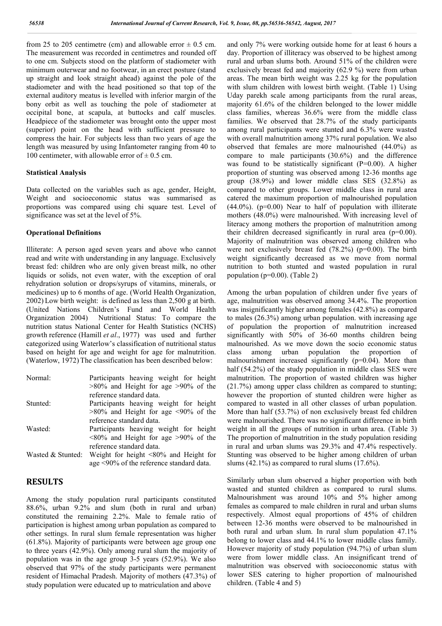from 25 to 205 centimetre (cm) and allowable error  $\pm$  0.5 cm. The measurement was recorded in centimetres and rounded off to one cm. Subjects stood on the platform of stadiometer with minimum outerwear and no footwear, in an erect posture (stand up straight and look straight ahead) against the pole of the stadiometer and with the head positioned so that top of the external auditory meatus is levelled with inferior margin of the bony orbit as well as touching the pole of stadiometer at occipital bone, at scapula, at buttocks and calf muscles. Headpiece of the stadiometer was brought onto the upper most (superior) point on the head with sufficient pressure to compress the hair. For subjects less than two years of age the length was measured by using Infantometer ranging from 40 to 100 centimeter, with allowable error of  $\pm$  0.5 cm.

#### **Statistical Analysis**

Data collected on the variables such as age, gender, Height, Weight and socioeconomic status was summarised as proportions was compared using chi square test. Level of significance was set at the level of 5%.

#### **Operational Definitions**

Illiterate: A person aged seven years and above who cannot read and write with understanding in any language. Exclusively breast fed: children who are only given breast milk, no other liquids or solids, not even water, with the exception of oral rehydration solution or drops/syrups of vitamins, minerals, or medicines) up to 6 months of age. (World Health Organization, 2002) Low birth weight: is defined as less than 2,500 g at birth. (United Nations Children's Fund and World Health Nutritional Status: To compare the nutrition status National Center for Health Statistics (NCHS) growth reference (Hamill *et al*., 1977) was used and further categorized using Waterlow's classification of nutritional status based on height for age and weight for age for malnutrition. (Waterlow, 1972) The classification has been described below:

Normal: Participants heaving weight for height >80% and Height for age >90% of the reference standard data. Stunted: Participants heaving weight for height  $>80\%$  and Height for age  $\leq 90\%$  of the reference standard data. Wasted: Participants heaving weight for height  $\leq 80\%$  and Height for age  $\geq 90\%$  of the reference standard data. Wasted  $&$  Stunted: Weight for height  $<80\%$  and Height for age <90% of the reference standard data.

## **RESULTS**

Among the study population rural participants constituted 88.6%, urban 9.2% and slum (both in rural and urban) constituted the remaining 2.2%. Male to female ratio of participation is highest among urban population as compared to other settings. In rural slum female representation was higher (61.8%). Majority of participants were between age group one to three years (42.9%). Only among rural slum the majority of population was in the age group 3-5 years (52.9%). We also observed that 97% of the study participants were permanent resident of Himachal Pradesh. Majority of mothers (47.3%) of study population were educated up to matriculation and above

and only 7% were working outside home for at least 6 hours a day. Proportion of illiteracy was observed to be highest among rural and urban slums both. Around 51% of the children were exclusively breast fed and majority (62.9 %) were from urban areas. The mean birth weight was 2.25 kg for the population with slum children with lowest birth weight. (Table 1) Using Uday parekh scale among participants from the rural areas, majority 61.6% of the children belonged to the lower middle class families, whereas 36.6% were from the middle class families. We observed that 28.7% of the study participants among rural participants were stunted and 6.3% were wasted with overall malnutrition among 37% rural population. We also observed that females are more malnourished (44.0%) as compare to male participants (30.6%) and the difference was found to be statistically significant (P=0.00). A higher proportion of stunting was observed among 12-36 months age group (38.9%) and lower middle class SES (32.8%) as compared to other groups. Lower middle class in rural area catered the maximum proportion of malnourished population  $(44.0\%)$ . (p=0.00) Near to half of population with illiterate mothers (48.0%) were malnourished. With increasing level of literacy among mothers the proportion of malnutrition among their children decreased significantly in rural area  $(p=0.00)$ . Majority of malnutrition was observed among children who were not exclusively breast fed (78.2%) (p=0.00). The birth weight significantly decreased as we move from normal nutrition to both stunted and wasted population in rural population (p=0.00). (Table 2)

Among the urban population of children under five years of age, malnutrition was observed among 34.4%. The proportion was insignificantly higher among females (42.8%) as compared to males (26.3%) among urban population. with increasing age of population the proportion of malnutrition increased significantly with 50% of 36-60 months children being malnourished. As we move down the socio economic status class among urban population the proportion of malnourishment increased significantly (p=0.04). More than half (54.2%) of the study population in middle class SES were malnutrition. The proportion of wasted children was higher (21.7%) among upper class children as compared to stunting; however the proportion of stunted children were higher as compared to wasted in all other classes of urban population. More than half (53.7%) of non exclusively breast fed children were malnourished. There was no significant difference in birth weight in all the groups of nutrition in urban area. (Table 3) The proportion of malnutrition in the study population residing in rural and urban slums was 29.3% and 47.4% respectively. Stunting was observed to be higher among children of urban slums  $(42.1\%)$  as compared to rural slums  $(17.6\%)$ .

Similarly urban slum observed a higher proportion with both wasted and stunted children as compared to rural slums. Malnourishment was around 10% and 5% higher among females as compared to male children in rural and urban slums respectively. Almost equal proportions of 45% of children between 12-36 months were observed to be malnourished in both rural and urban slum. In rural slum population 47.1% belong to lower class and 44.1% to lower middle class family. However majority of study population (94.7%) of urban slum were from lower middle class. An insignificant trend of malnutrition was observed with socioeconomic status with lower SES catering to higher proportion of malnourished children. (Table 4 and 5)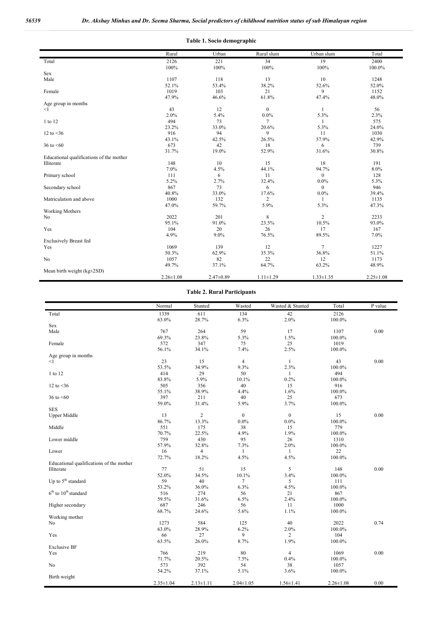| Table 1. Socio demographic                             |                 |                 |                         |                         |                 |  |
|--------------------------------------------------------|-----------------|-----------------|-------------------------|-------------------------|-----------------|--|
|                                                        | Rural           | Urban           | Rural slum              | Urban slum              | Total           |  |
| Total                                                  | 2126<br>100%    | 221<br>100%     | 34<br>100%              | 19<br>100%              | 2400<br>100.0%  |  |
| Sex                                                    |                 |                 |                         |                         |                 |  |
| Male                                                   | 1107<br>52.1%   | 118<br>53.4%    | 13<br>38.2%             | 10<br>52.6%             | 1248<br>52.0%   |  |
| Female                                                 | 1019<br>47.9%   | 103<br>46.6%    | 21<br>61.8%             | 9<br>47.4%              | 1152<br>48.0%   |  |
| Age group in months                                    |                 |                 |                         |                         |                 |  |
| $\leq$ 1                                               | 43<br>2.0%      | 12<br>5.4%      | $\mathbf{0}$<br>0.0%    | $\mathbf{1}$<br>5.3%    | 56<br>2.3%      |  |
| 1 to 12                                                | 494<br>23.2%    | 73<br>33.0%     | $\tau$<br>20.6%         | 1<br>5.3%               | 575<br>24.0%    |  |
| 12 to $<$ 36                                           | 916<br>43.1%    | 94<br>42.5%     | 9<br>26.5%              | 11<br>57.9%             | 1030<br>42.9%   |  |
| 36 to $\leq 60$                                        | 673<br>31.7%    | 42              | 18                      | 6                       | 739             |  |
|                                                        |                 | 19.0%           | 52.9%                   | 31.6%                   | 30.8%           |  |
| Educational qualifications of the mother<br>Illiterate | 148             | 10              | 15                      | 18                      | 191             |  |
|                                                        | 7.0%            | 4.5%            | 44.1%                   | 94.7%                   | 8.0%            |  |
| Primary school                                         | 111             | 6               | 11                      | $\boldsymbol{0}$        | 128             |  |
| Secondary school                                       | 5.2%<br>867     | 2.7%<br>73      | 32.4%<br>6              | $0.0\%$<br>$\mathbf{0}$ | 5.3%<br>946     |  |
| Matriculation and above                                | 40.8%<br>1000   | 33.0%<br>132    | 17.6%<br>$\overline{c}$ | $0.0\%$                 | 39.4%<br>1135   |  |
|                                                        | 47.0%           | 59.7%           | 5.9%                    | 5.3%                    | 47.3%           |  |
| <b>Working Mothers</b>                                 |                 |                 | 8                       | $\overline{2}$          |                 |  |
| N <sub>o</sub>                                         | 2022<br>95.1%   | 201<br>91.0%    | 23.5%                   | 10.5%                   | 2233<br>93.0%   |  |
| Yes                                                    | 104<br>4.9%     | 20<br>9.0%      | 26<br>76.5%             | 17<br>89.5%             | 167<br>7.0%     |  |
| <b>Exclusively Breast fed</b>                          |                 |                 |                         |                         |                 |  |
| Yes                                                    | 1069<br>50.3%   | 139<br>62.9%    | 12<br>35.3%             | $\overline{7}$<br>36.8% | 1227<br>51.1%   |  |
| No                                                     | 1057            | 82              | 22                      | 12                      | 1173            |  |
|                                                        | 49.7%           | 37.1%           | 64.7%                   | 63.2%                   | 48.9%           |  |
| Mean birth weight $(kg \pm 2SD)$                       | $2.26 \pm 1.08$ | $2.47 \pm 0.89$ | $1.11 \pm 1.29$         | $1.33 \pm 1.35$         | $2.25 \pm 1.08$ |  |

#### **Table 2. Rural Participants**

|                                          | Normal          | Stunted                 | Wasted          | Wasted & Stunted | Total           | P value |
|------------------------------------------|-----------------|-------------------------|-----------------|------------------|-----------------|---------|
| Total                                    | 1339            | 611                     | 134             | 42               | 2126            |         |
|                                          | 63.0%           | 28.7%                   | 6.3%            | 2.0%             | 100.0%          |         |
| Sex                                      |                 |                         |                 |                  |                 |         |
| Male                                     | 767             | 264                     | 59              | 17               | 1107            | 0.00    |
|                                          | 69.3%           | 23.8%                   | 5.3%            | 1.5%             | 100.0%          |         |
| Female                                   | 572             | 347                     | 75              | 25               | 1019            |         |
|                                          | 56.1%           | 34.1%                   | 7.4%            | 2.5%             | 100.0%          |         |
| Age group in months                      |                 |                         |                 |                  |                 |         |
| $<$ 1                                    | 23              | 15                      | $\overline{4}$  | $\mathbf{1}$     | 43              | 0.00    |
|                                          | 53.5%           | 34.9%                   | 9.3%            | 2.3%             | 100.0%          |         |
| 1 to 12                                  | 414             | 29                      | 50              | 1                | 494             |         |
|                                          | 83.8%           | 5.9%                    | 10.1%           | 0.2%             | 100.0%          |         |
| 12 to $<$ 36                             | 505             | 356                     | 40              | 15               | 916             |         |
|                                          | 55.1%           | 38.9%                   | 4.4%            | 1.6%             | 100.0%          |         |
| 36 to $< 60$                             | 397             | 211                     | 40              | 25               | 673             |         |
|                                          | 59.0%           | 31.4%                   | 5.9%            | 3.7%             | 100.0%          |         |
| <b>SES</b>                               |                 |                         |                 |                  |                 |         |
| <b>Upper Middle</b>                      | 13              | $\overline{\mathbf{c}}$ | $\overline{0}$  | $\bf{0}$         | 15              | 0.00    |
|                                          | 86.7%           | 13.3%                   | 0.0%            | $0.0\%$          | 100.0%          |         |
| Middle                                   | 551             | 175                     | 38              | 15               | 779             |         |
|                                          | 70.7%           | 22.5%                   | 4.9%            | 1.9%             | 100.0%          |         |
| Lower middle                             | 759             | 430                     | 95              | 26               | 1310            |         |
|                                          | 57.9%           | 32.8%                   | 7.3%            | 2.0%             | 100.0%          |         |
| Lower                                    | 16              | $\overline{4}$          | -1              | 1                | 22              |         |
|                                          | 72.7%           | 18.2%                   | 4.5%            | 4.5%             | 100.0%          |         |
| Educational qualifications of the mother |                 |                         |                 |                  |                 |         |
| Illiterate                               | 77              | 51                      | 15              | 5                | 148             | 0.00    |
|                                          | 52.0%           | 34.5%                   | 10.1%           | 3.4%             | 100.0%          |         |
| Up to 5 <sup>th</sup> standard           | 59              | 40                      | 7               | 5                | 111             |         |
|                                          | 53.2%           | 36.0%                   | 6.3%            | 4.5%             | 100.0%          |         |
| $6th$ to $10th$ standard                 | 516             | 274                     | 56              | 21               | 867             |         |
|                                          | 59.5%           | 31.6%                   | 6.5%            | 2.4%             | 100.0%          |         |
| Higher secondary                         | 687             | 246                     | 56              | 11               | 1000            |         |
|                                          | 68.7%           | 24.6%                   | 5.6%            | 1.1%             | 100.0%          |         |
| Working mother                           |                 |                         |                 |                  |                 |         |
| No                                       | 1273            | 584                     | 125             | 40               | 2022            | 0.74    |
|                                          | 63.0%           | 28.9%                   | 6.2%            | 2.0%             | 100.0%          |         |
| Yes                                      | 66              | 27                      | 9               | $\overline{c}$   | 104             |         |
|                                          | 63.5%           | 26.0%                   | 8.7%            | 1.9%             | 100.0%          |         |
| <b>Exclusive BF</b>                      |                 |                         |                 |                  |                 |         |
| Yes                                      | 766             | 219                     | 80              | $\overline{4}$   | 1069            | 0.00    |
|                                          | 71.7%           | 20.5%                   | 7.5%            | 0.4%             | 100.0%          |         |
| No                                       | 573             | 392                     | 54              | 38               | 1057            |         |
|                                          | 54.2%           | 37.1%                   | 5.1%            | 3.6%             | 100.0%          |         |
| Birth weight                             |                 |                         |                 |                  |                 |         |
|                                          | $2.35 \pm 1.04$ | $2.13 \pm 1.11$         | $2.04 \pm 1.05$ | $1.56 \pm 1.41$  | $2.26 \pm 1.08$ | 0.00    |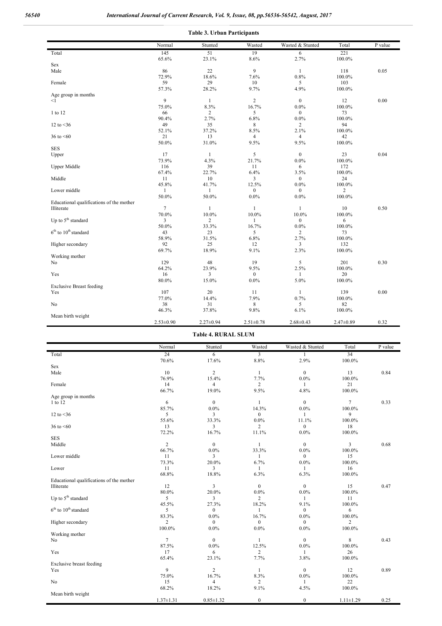|                                          | Normal          | Stunted         | Wasted           | Wasted & Stunted | Total           | $\overline{P}$ value |
|------------------------------------------|-----------------|-----------------|------------------|------------------|-----------------|----------------------|
| Total                                    | 145             | 51              | 19               | 6                | 221             |                      |
|                                          | 65.6%           | 23.1%           | 8.6%             | 2.7%             | 100.0%          |                      |
| Sex                                      |                 |                 |                  |                  |                 |                      |
| Male                                     | 86              | 22              | 9                | $\mathbf{1}$     | 118             | 0.05                 |
|                                          | 72.9%           | 18.6%           | 7.6%             | 0.8%             | 100.0%          |                      |
| Female                                   | 59              | 29              | 10               | 5                | 103             |                      |
|                                          | 57.3%           | 28.2%           | 9.7%             | 4.9%             | 100.0%          |                      |
| Age group in months                      |                 |                 |                  |                  |                 |                      |
| <1                                       | 9               | $\mathbf{1}$    | $\overline{2}$   | $\bf{0}$         | 12              | 0.00                 |
|                                          | 75.0%           | 8.3%            | 16.7%            | $0.0\%$          | 100.0%          |                      |
| 1 to 12                                  | 66              | 2               | 5                | $\bf{0}$         | 73              |                      |
|                                          | 90.4%           | 2.7%            | 6.8%             | 0.0%             | 100.0%          |                      |
| 12 to $<$ 36                             | 49              | 35              | 8                | $\overline{c}$   | 94              |                      |
|                                          | 52.1%           | 37.2%           | 8.5%             | 2.1%             | 100.0%          |                      |
| 36 to $\leq 60$                          | 21              | 13              | $\overline{4}$   | $\overline{4}$   | 42              |                      |
|                                          | 50.0%           | 31.0%           | 9.5%             | 9.5%             | 100.0%          |                      |
| <b>SES</b>                               |                 |                 |                  |                  |                 |                      |
| Upper                                    | 17              | $\mathbf{1}$    | 5                | $\mathbf{0}$     | 23              | 0.04                 |
|                                          | 73.9%           | 4.3%            | 21.7%            | $0.0\%$          | 100.0%          |                      |
| <b>Upper Middle</b>                      | 116             | 39              | 11               | 6                | 172             |                      |
|                                          | 67.4%           | 22.7%           | 6.4%             | 3.5%             | 100.0%          |                      |
| Middle                                   | 11              | 10              | 3                | $\mathbf{0}$     | 24              |                      |
|                                          | 45.8%           | 41.7%           | 12.5%            | $0.0\%$          | 100.0%          |                      |
| Lower middle                             | $\mathbf{1}$    | 1               | $\boldsymbol{0}$ | $\bf{0}$         | $\overline{c}$  |                      |
|                                          | 50.0%           | 50.0%           | $0.0\%$          | 0.0%             | 100.0%          |                      |
| Educational qualifications of the mother |                 |                 |                  |                  |                 |                      |
| Illiterate                               | $7\phantom{.0}$ | $\mathbf{1}$    | 1                | $\mathbf{1}$     | $10\,$          | 0.50                 |
|                                          | 70.0%           | $10.0\%$        | $10.0\%$         | $10.0\%$         | 100.0%          |                      |
| Up to 5 <sup>th</sup> standard           | 3               | 2               | 1                | $\mathbf{0}$     | 6               |                      |
|                                          | 50.0%           | 33.3%           | 16.7%            | $0.0\%$          | 100.0%          |                      |
| $6th$ to $10th$ standard                 | 43              | 23              | 5                | 2                | 73              |                      |
|                                          | 58.9%           | 31.5%           | 6.8%             | 2.7%             | 100.0%          |                      |
| Higher secondary                         | 92              | 25              | 12               | 3                | 132             |                      |
|                                          | 69.7%           | 18.9%           | 9.1%             | 2.3%             | 100.0%          |                      |
| Working mother                           |                 |                 |                  |                  |                 |                      |
| No                                       | 129             | 48              | 19               | 5                | 201             | 0.30                 |
|                                          | 64.2%           | 23.9%           | 9.5%             | 2.5%             | 100.0%          |                      |
| Yes                                      | 16              | 3               | $\Omega$         |                  | 20              |                      |
|                                          | 80.0%           | 15.0%           | $0.0\%$          | 5.0%             | 100.0%          |                      |
| <b>Exclusive Breast feeding</b>          |                 |                 |                  |                  |                 |                      |
| Yes                                      | 107             | $20\,$          | 11               | $\mathbf{1}$     | 139             | 0.00                 |
|                                          | 77.0%           | 14.4%           | 7.9%             | 0.7%             | $100.0\%$       |                      |
| No                                       | 38              | 31              | 8                | 5                | 82              |                      |
|                                          | 46.3%           | 37.8%           | 9.8%             | 6.1%             | 100.0%          |                      |
| Mean birth weight                        |                 |                 |                  |                  |                 |                      |
|                                          | $2.53 \pm 0.90$ | $2.27 \pm 0.94$ | $2.51 \pm 0.78$  | $2.68 \pm 0.43$  | $2.47 \pm 0.89$ | 0.32                 |

**Table 4. RURAL SLUM**

|                                          | Normal          | Stunted                 | Wasted           | Wasted & Stunted | Total           | P value |
|------------------------------------------|-----------------|-------------------------|------------------|------------------|-----------------|---------|
| Total                                    | $\overline{24}$ | 6                       | 3                | 1                | 34              |         |
|                                          | 70.6%           | 17.6%                   | 8.8%             | 2.9%             | 100.0%          |         |
| Sex                                      |                 |                         |                  |                  |                 |         |
| Male                                     | 10              | $\overline{c}$          | $\mathbf{1}$     | $\overline{0}$   | 13              | 0.84    |
|                                          | 76.9%           | 15.4%                   | 7.7%             | $0.0\%$          | 100.0%          |         |
| Female                                   | 14              | $\overline{\mathbf{4}}$ | $\overline{c}$   | 1                | 21              |         |
|                                          | 66.7%           | 19.0%                   | 9.5%             | 4.8%             | 100.0%          |         |
| Age group in months                      |                 |                         |                  |                  |                 |         |
| 1 to 12                                  | 6               | $\mathbf{0}$            | 1                | $\overline{0}$   | $\overline{7}$  | 0.33    |
|                                          | 85.7%           | 0.0%                    | 14.3%            | $0.0\%$          | 100.0%          |         |
| 12 to $<$ 36                             | 5               | 3                       | $\overline{0}$   | 1                | 9               |         |
|                                          | 55.6%           | 33.3%                   | $0.0\%$          | 11.1%            | 100.0%          |         |
| 36 to $\leq 60$                          | 13              | 3                       | 2                | $\overline{0}$   | 18              |         |
|                                          | 72.2%           | 16.7%                   | 11.1%            | 0.0%             | 100.0%          |         |
| <b>SES</b>                               |                 |                         |                  |                  |                 |         |
| Middle                                   | $\overline{c}$  | $\bf{0}$                | $\mathbf{1}$     | $\overline{0}$   | 3               | 0.68    |
|                                          | 66.7%           | $0.0\%$                 | 33.3%            | $0.0\%$          | 100.0%          |         |
| Lower middle                             | 11              | 3                       | $\mathbf{1}$     | $\overline{0}$   | 15              |         |
|                                          | 73.3%           | 20.0%                   | 6.7%             | 0.0%             | 100.0%          |         |
| Lower                                    | 11              | 3                       | $\mathbf{1}$     | 1                | 16              |         |
|                                          | 68.8%           | 18.8%                   | 6.3%             | 6.3%             | 100.0%          |         |
| Educational qualifications of the mother |                 |                         |                  |                  |                 |         |
| Illiterate                               | 12              | 3                       | $\boldsymbol{0}$ | $\mathbf{0}$     | 15              | 0.47    |
|                                          | 80.0%           | 20.0%                   | $0.0\%$          | $0.0\%$          | 100.0%          |         |
| Up to 5 <sup>th</sup> standard           | 5               | 3                       | $\overline{2}$   | $\mathbf{1}$     | 11              |         |
|                                          | 45.5%           | 27.3%                   | 18.2%            | 9.1%             | 100.0%          |         |
| $6th$ to $10th$ standard                 | 5               | $\bf{0}$                | $\mathbf{1}$     | $\overline{0}$   | 6               |         |
|                                          | 83.3%           | $0.0\%$                 | 16.7%            | $0.0\%$          | $100.0\%$       |         |
| Higher secondary                         | $\overline{c}$  | $\mathbf{0}$            | $\overline{0}$   | $\overline{0}$   | $\overline{c}$  |         |
|                                          | 100.0%          | $0.0\%$                 | $0.0\%$          | 0.0%             | 100.0%          |         |
| Working mother                           |                 |                         |                  |                  |                 |         |
| No                                       | $\overline{7}$  | $\mathbf{0}$            | $\mathbf{1}$     | $\overline{0}$   | 8               | 0.43    |
|                                          | 87.5%           | $0.0\%$                 | 12.5%            | $0.0\%$          | 100.0%          |         |
| Yes                                      | 17              | 6                       | $\overline{c}$   | 1                | 26              |         |
|                                          | 65.4%           | 23.1%                   | 7.7%             | 3.8%             | 100.0%          |         |
| Exclusive breast feeding                 |                 |                         |                  |                  |                 |         |
| Yes                                      | 9               | $\overline{c}$          | $\mathbf{1}$     | $\mathbf{0}$     | 12              | 0.89    |
|                                          | 75.0%           | 16.7%                   | 8.3%             | $0.0\%$          | 100.0%          |         |
| No                                       | 15              | 4                       | $\overline{c}$   | $\mathbf{1}$     | 22              |         |
|                                          | 68.2%           | 18.2%                   | 9.1%             | 4.5%             | 100.0%          |         |
|                                          |                 |                         |                  |                  |                 |         |
| Mean birth weight                        |                 |                         |                  | $\boldsymbol{0}$ |                 | 0.25    |
|                                          | $1.37 \pm 1.31$ | $0.85 \pm 1.32$         | $\boldsymbol{0}$ |                  | $1.11 \pm 1.29$ |         |

### **Table 3. Urban Participants**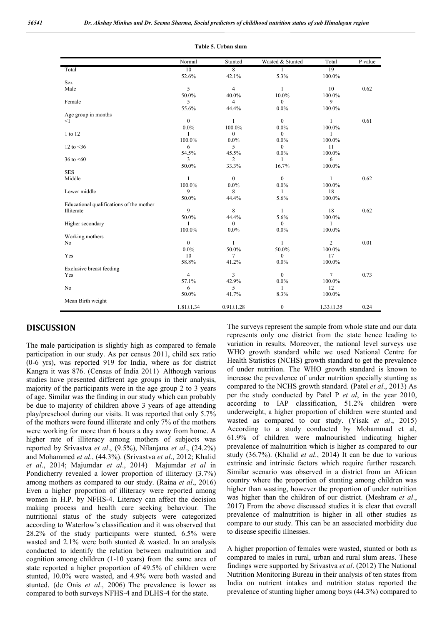|                                          | Normal          | Stunted         | Wasted & Stunted | Total           | P value |
|------------------------------------------|-----------------|-----------------|------------------|-----------------|---------|
| Total                                    | 10              | 8               | 1                | 19              |         |
|                                          | 52.6%           | 42.1%           | 5.3%             | 100.0%          |         |
| Sex                                      |                 |                 |                  |                 |         |
| Male                                     | 5               | $\overline{4}$  | 1                | 10              | 0.62    |
|                                          | 50.0%           | 40.0%           | 10.0%            | 100.0%          |         |
| Female                                   | 5               | 4               | $\overline{0}$   | 9               |         |
|                                          | 55.6%           | 44.4%           | $0.0\%$          | 100.0%          |         |
| Age group in months                      |                 |                 |                  |                 |         |
| $<$ 1                                    | $\mathbf{0}$    | 1               | $\mathbf{0}$     | 1               | 0.61    |
|                                          | $0.0\%$         | 100.0%          | $0.0\%$          | 100.0%          |         |
| 1 to 12                                  | $\mathbf{1}$    | $\overline{0}$  | $\theta$         | 1               |         |
|                                          | 100.0%          | $0.0\%$         | $0.0\%$          | 100.0%          |         |
| 12 to $<$ 36                             | 6               | 5               | $\theta$         | 11              |         |
|                                          | 54.5%           | 45.5%           | 0.0%             | 100.0%          |         |
| 36 to $\leq 60$                          | 3               | $\overline{2}$  | 1                | 6               |         |
|                                          | 50.0%           | 33.3%           | 16.7%            | $100.0\%$       |         |
| <b>SES</b>                               |                 |                 |                  |                 |         |
| Middle                                   | 1               | $\mathbf{0}$    | $\overline{0}$   | 1               | 0.62    |
|                                          | 100.0%          | $0.0\%$         | $0.0\%$          | 100.0%          |         |
| Lower middle                             | 9               | 8               | 1                | 18              |         |
|                                          | 50.0%           | 44.4%           | 5.6%             | 100.0%          |         |
| Educational qualifications of the mother |                 |                 |                  |                 |         |
| Illiterate                               | 9               | 8               | 1                | 18              | 0.62    |
|                                          | 50.0%           | 44.4%           | 5.6%             | 100.0%          |         |
| Higher secondary                         | 1               | $\overline{0}$  | $\theta$         | 1               |         |
|                                          | 100.0%          | $0.0\%$         | $0.0\%$          | 100.0%          |         |
| Working mothers                          |                 |                 |                  |                 |         |
| No                                       | $\theta$        | $\mathbf{1}$    | 1                | $\overline{2}$  | 0.01    |
|                                          | $0.0\%$         | 50.0%           | 50.0%            | 100.0%          |         |
| Yes                                      | 10              | $\overline{7}$  | $\overline{0}$   | 17              |         |
|                                          | 58.8%           | 41.2%           | $0.0\%$          | 100.0%          |         |
| Exclusive breast feeding                 |                 |                 |                  |                 |         |
| Yes                                      | $\overline{4}$  | 3               | $\mathbf{0}$     | $\overline{7}$  | 0.73    |
|                                          | 57.1%           | 42.9%           | $0.0\%$          | 100.0%          |         |
| No                                       | 6               | 5               | 1                | 12              |         |
|                                          | 50.0%           | 41.7%           | 8.3%             | 100.0%          |         |
| Mean Birth weight                        |                 |                 |                  |                 |         |
|                                          | $1.81 \pm 1.34$ | $0.91 \pm 1.28$ | $\boldsymbol{0}$ | $1.33 \pm 1.35$ | 0.24    |

#### **Table 5. Urban slum**

## **DISCUSSION**

The male participation is slightly high as compared to female participation in our study. As per census 2011, child sex ratio (0-6 yrs), was reported 919 for India, where as for district Kangra it was 876. (Census of India 2011) Although various studies have presented different age groups in their analysis, majority of the participants were in the age group 2 to 3 years of age. Similar was the finding in our study which can probably be due to majority of children above 3 years of age attending play/preschool during our visits. It was reported that only 5.7% of the mothers were found illiterate and only 7% of the mothers were working for more than 6 hours a day away from home. A higher rate of illiteracy among mothers of subjects was reported by Srivastva *et al*., (9.5%), Nilanjana *et al*., (24.2%) and Mohammed *et al*., (44.3%). (Srivastva *et al*., 2012; Khalid *et al*., 2014; Majumdar *et al*., 2014) Majumdar *et al* in Pondicherry revealed a lower proportion of illiteracy (3.7%) among mothers as compared to our study. (Raina *et al*., 2016) Even a higher proportion of illiteracy were reported among women in H.P. by NFHS-4. Literacy can affect the decision making process and health care seeking behaviour. The nutritional status of the study subjects were categorized according to Waterlow's classification and it was observed that 28.2% of the study participants were stunted, 6.5% were wasted and  $2.1\%$  were both stunted & wasted. In an analysis conducted to identify the relation between malnutrition and cognition among children (1-10 years) from the same area of state reported a higher proportion of 49.5% of children were stunted, 10.0% were wasted, and 4.9% were both wasted and stunted. (de Onis *et al*., 2006) The prevalence is lower as compared to both surveys NFHS-4 and DLHS-4 for the state.

The surveys represent the sample from whole state and our data represents only one district from the state hence leading to variation in results. Moreover, the national level surveys use WHO growth standard while we used National Centre for Health Statistics (NCHS) growth standard to get the prevalence of under nutrition. The WHO growth standard is known to increase the prevalence of under nutrition specially stunting as compared to the NCHS growth standard. (Patel *et al*., 2013) As per the study conducted by Patel P *et al*, in the year 2010, according to IAP classification, 51.2% children were underweight, a higher proportion of children were stunted and wasted as compared to our study. (Yisak *et al*., 2015) According to a study conducted by Mohammad et al, 61.9% of children were malnourished indicating higher prevalence of malnutrition which is higher as compared to our study (36.7%). (Khalid *et al*., 2014) It can be due to various extrinsic and intrinsic factors which require further research. Similar scenario was observed in a district from an African country where the proportion of stunting among children was higher than wasting, however the proportion of under nutrition was higher than the children of our district. (Meshram *et al*., 2017) From the above discussed studies it is clear that overall prevalence of malnutrition is higher in all other studies as compare to our study. This can be an associated morbidity due to disease specific illnesses.

A higher proportion of females were wasted, stunted or both as compared to males in rural, urban and rural slum areas. These findings were supported by Srivastva *et al*. (2012) The National Nutrition Monitoring Bureau in their analysis of ten states from India on nutrient intakes and nutrition status reported the prevalence of stunting higher among boys (44.3%) compared to